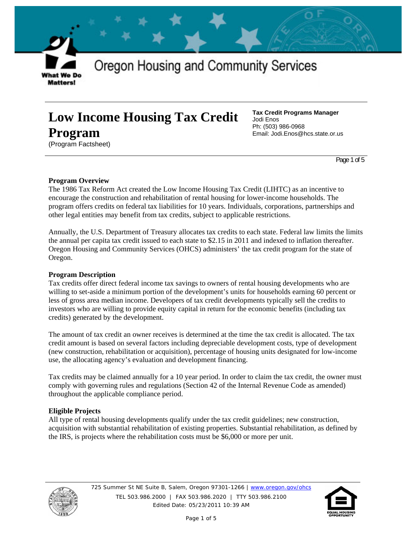

(Program Factsheet)

**Matters!** 

**Tax Credit Programs Manager**  Jodi Enos Ph: (503) 986-0968 Email: Jodi.Enos@hcs.state.or.us

Page 1 of 5

#### **Program Overview**

The 1986 Tax Reform Act created the Low Income Housing Tax Credit (LIHTC) as an incentive to encourage the construction and rehabilitation of rental housing for lower-income households. The program offers credits on federal tax liabilities for 10 years. Individuals, corporations, partnerships and other legal entities may benefit from tax credits, subject to applicable restrictions.

Annually, the U.S. Department of Treasury allocates tax credits to each state. Federal law limits the limits the annual per capita tax credit issued to each state to \$2.15 in 2011 and indexed to inflation thereafter. Oregon Housing and Community Services (OHCS) administers' the tax credit program for the state of Oregon.

#### **Program Description**

Tax credits offer direct federal income tax savings to owners of rental housing developments who are willing to set-aside a minimum portion of the development's units for households earning 60 percent or less of gross area median income. Developers of tax credit developments typically sell the credits to investors who are willing to provide equity capital in return for the economic benefits (including tax credits) generated by the development.

The amount of tax credit an owner receives is determined at the time the tax credit is allocated. The tax credit amount is based on several factors including depreciable development costs, type of development (new construction, rehabilitation or acquisition), percentage of housing units designated for low-income use, the allocating agency's evaluation and development financing.

Tax credits may be claimed annually for a 10 year period. In order to claim the tax credit, the owner must comply with governing rules and regulations (Section 42 of the Internal Revenue Code as amended) throughout the applicable compliance period.

#### **Eligible Projects**

All type of rental housing developments qualify under the tax credit guidelines; new construction, acquisition with substantial rehabilitation of existing properties. Substantial rehabilitation, as defined by the IRS, is projects where the rehabilitation costs must be \$6,000 or more per unit.



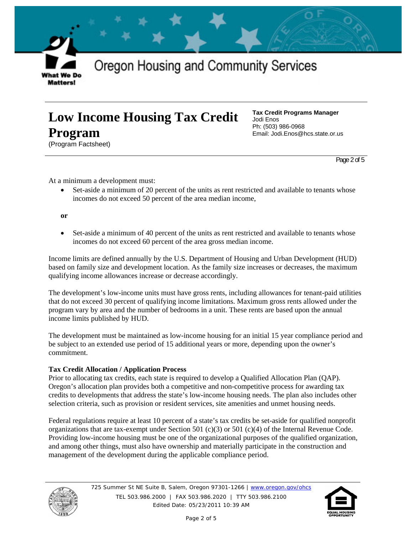

(Program Factsheet)

**Tax Credit Programs Manager**  Jodi Enos Ph: (503) 986-0968 Email: Jodi.Enos@hcs.state.or.us

Page 2 of 5

At a minimum a development must:

• Set-aside a minimum of 20 percent of the units as rent restricted and available to tenants whose incomes do not exceed 50 percent of the area median income,

**or** 

**Matters!** 

• Set-aside a minimum of 40 percent of the units as rent restricted and available to tenants whose incomes do not exceed 60 percent of the area gross median income.

Income limits are defined annually by the U.S. Department of Housing and Urban Development (HUD) based on family size and development location. As the family size increases or decreases, the maximum qualifying income allowances increase or decrease accordingly.

The development's low-income units must have gross rents, including allowances for tenant-paid utilities that do not exceed 30 percent of qualifying income limitations. Maximum gross rents allowed under the program vary by area and the number of bedrooms in a unit. These rents are based upon the annual income limits published by HUD.

The development must be maintained as low-income housing for an initial 15 year compliance period and be subject to an extended use period of 15 additional years or more, depending upon the owner's commitment.

#### **Tax Credit Allocation / Application Process**

Prior to allocating tax credits, each state is required to develop a Qualified Allocation Plan (QAP). Oregon's allocation plan provides both a competitive and non-competitive process for awarding tax credits to developments that address the state's low-income housing needs. The plan also includes other selection criteria, such as provision or resident services, site amenities and unmet housing needs.

Federal regulations require at least 10 percent of a state's tax credits be set-aside for qualified nonprofit organizations that are tax-exempt under Section 501 (c)(3) or 501 (c)(4) of the Internal Revenue Code. Providing low-income housing must be one of the organizational purposes of the qualified organization, and among other things, must also have ownership and materially participate in the construction and management of the development during the applicable compliance period.



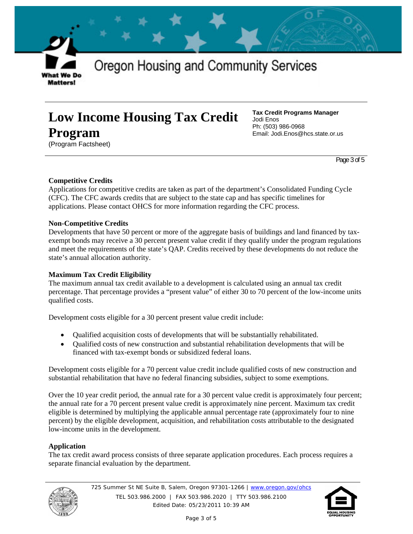

# **Low Income Housing Tax Credit**

### **Program**

**Matters!** 

(Program Factsheet)

**Tax Credit Programs Manager**  Jodi Enos Ph: (503) 986-0968 Email: Jodi.Enos@hcs.state.or.us

Page 3 of 5

#### **Competitive Credits**

Applications for competitive credits are taken as part of the department's Consolidated Funding Cycle (CFC). The CFC awards credits that are subject to the state cap and has specific timelines for applications. Please contact OHCS for more information regarding the CFC process.

#### **Non-Competitive Credits**

Developments that have 50 percent or more of the aggregate basis of buildings and land financed by taxexempt bonds may receive a 30 percent present value credit if they qualify under the program regulations and meet the requirements of the state's QAP. Credits received by these developments do not reduce the state's annual allocation authority.

#### **Maximum Tax Credit Eligibility**

The maximum annual tax credit available to a development is calculated using an annual tax credit percentage. That percentage provides a "present value" of either 30 to 70 percent of the low-income units qualified costs.

Development costs eligible for a 30 percent present value credit include:

- Qualified acquisition costs of developments that will be substantially rehabilitated.
- Qualified costs of new construction and substantial rehabilitation developments that will be financed with tax-exempt bonds or subsidized federal loans.

Development costs eligible for a 70 percent value credit include qualified costs of new construction and substantial rehabilitation that have no federal financing subsidies, subject to some exemptions.

Over the 10 year credit period, the annual rate for a 30 percent value credit is approximately four percent; the annual rate for a 70 percent present value credit is approximately nine percent. Maximum tax credit eligible is determined by multiplying the applicable annual percentage rate (approximately four to nine percent) by the eligible development, acquisition, and rehabilitation costs attributable to the designated low-income units in the development.

#### **Application**

The tax credit award process consists of three separate application procedures. Each process requires a separate financial evaluation by the department.



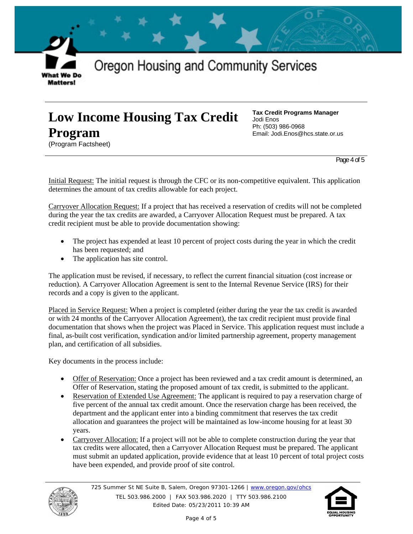

(Program Factsheet)

**Matters!** 

**Tax Credit Programs Manager**  Jodi Enos Ph: (503) 986-0968 Email: Jodi.Enos@hcs.state.or.us

Page 4 of 5

Initial Request: The initial request is through the CFC or its non-competitive equivalent. This application determines the amount of tax credits allowable for each project.

Carryover Allocation Request: If a project that has received a reservation of credits will not be completed during the year the tax credits are awarded, a Carryover Allocation Request must be prepared. A tax credit recipient must be able to provide documentation showing:

- The project has expended at least 10 percent of project costs during the year in which the credit has been requested; and
- The application has site control.

The application must be revised, if necessary, to reflect the current financial situation (cost increase or reduction). A Carryover Allocation Agreement is sent to the Internal Revenue Service (IRS) for their records and a copy is given to the applicant.

Placed in Service Request: When a project is completed (either during the year the tax credit is awarded or with 24 months of the Carryover Allocation Agreement), the tax credit recipient must provide final documentation that shows when the project was Placed in Service. This application request must include a final, as-built cost verification, syndication and/or limited partnership agreement, property management plan, and certification of all subsidies.

Key documents in the process include:

- Offer of Reservation: Once a project has been reviewed and a tax credit amount is determined, an Offer of Reservation, stating the proposed amount of tax credit, is submitted to the applicant.
- Reservation of Extended Use Agreement: The applicant is required to pay a reservation charge of five percent of the annual tax credit amount. Once the reservation charge has been received, the department and the applicant enter into a binding commitment that reserves the tax credit allocation and guarantees the project will be maintained as low-income housing for at least 30 years.
- Carryover Allocation: If a project will not be able to complete construction during the year that tax credits were allocated, then a Carryover Allocation Request must be prepared. The applicant must submit an updated application, provide evidence that at least 10 percent of total project costs have been expended, and provide proof of site control.